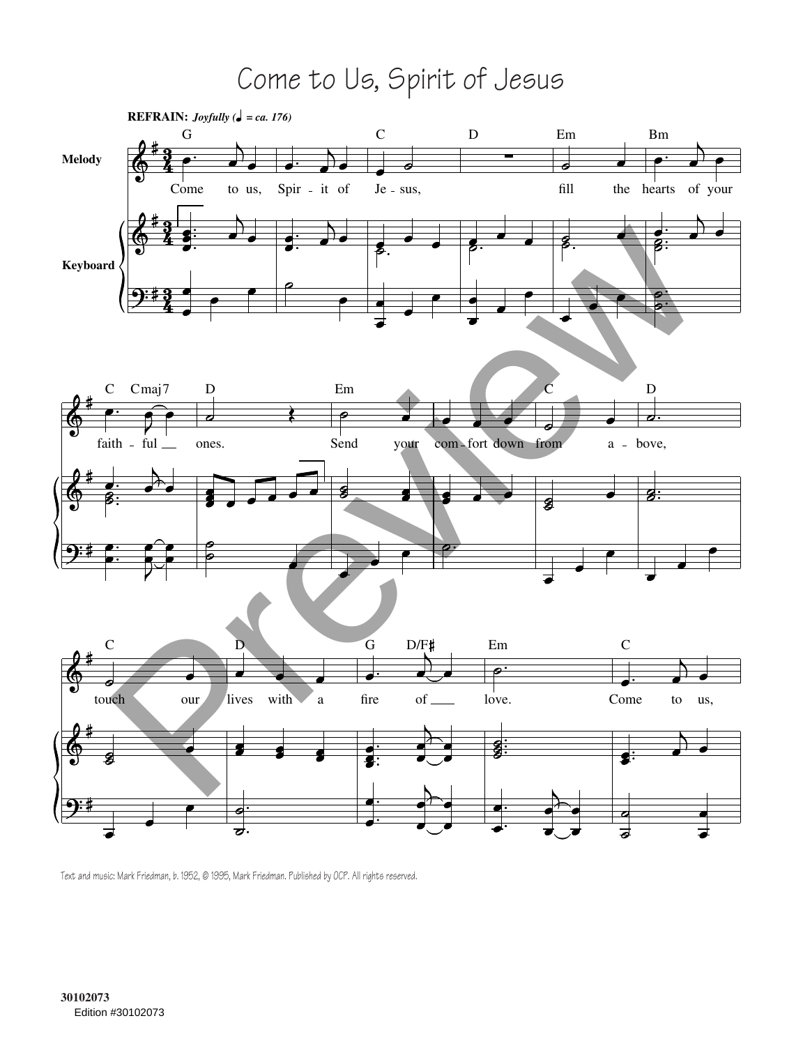Come to Us, Spirit of Jesus



Text and music: Mark Friedman, b. 1952, © 1995, Mark Friedman. Published by OCP. All rights reserved.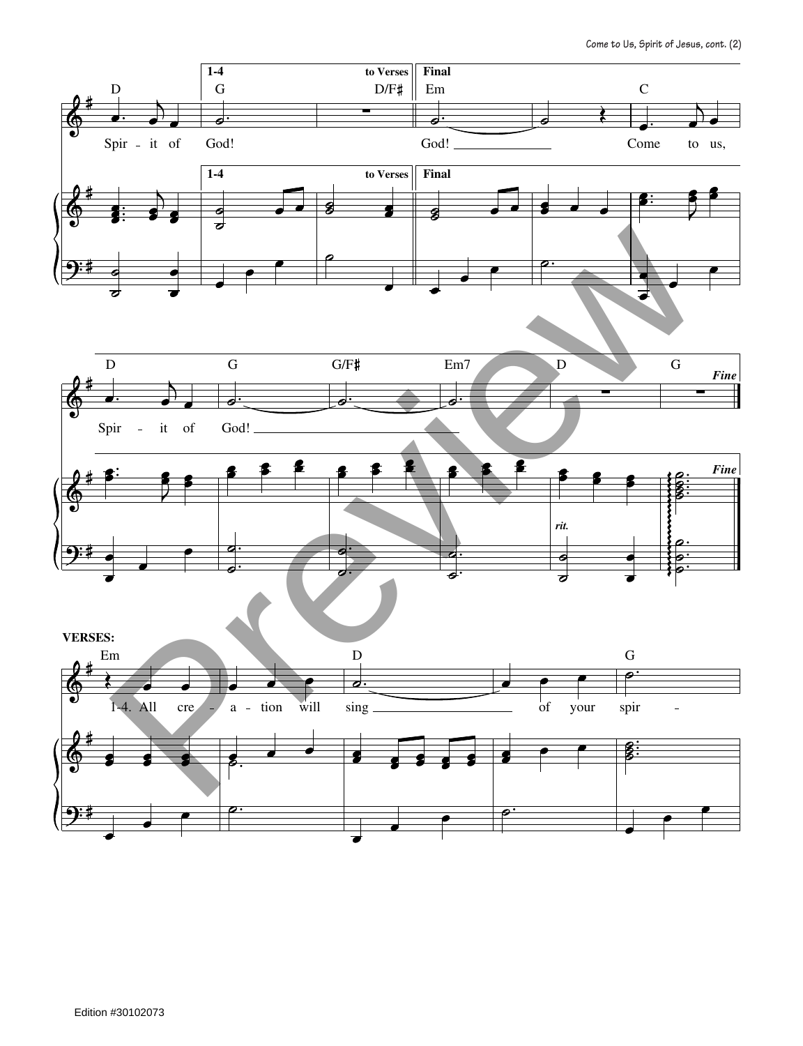